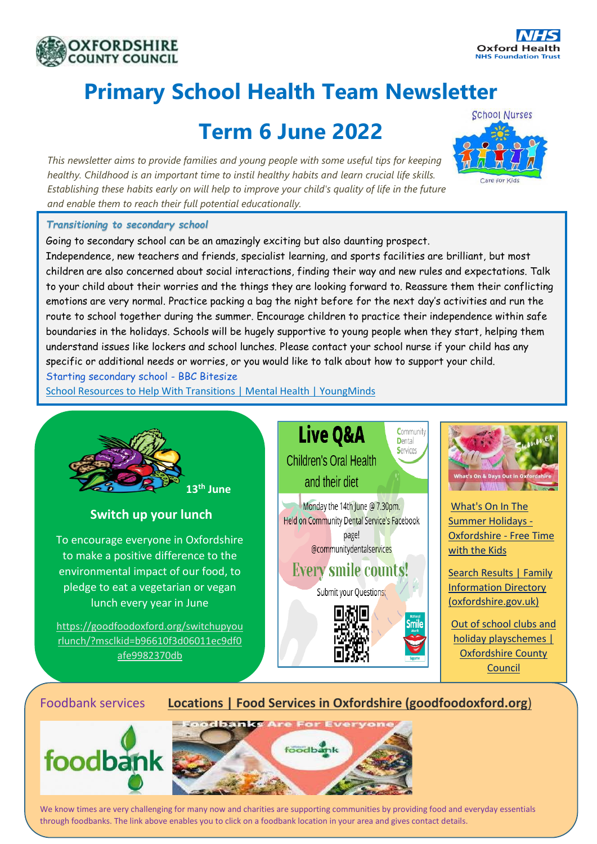



## **Primary School Health Team Newsletter**

## **Term 6 June 2022**

*This newsletter aims to provide families and young people with some useful tips for keeping healthy. Childhood is an important time to instil healthy habits and learn crucial life skills. Establishing these habits early on will help to improve your child's quality of life in the future and enable them to reach their full potential educationally.*



## *Transitioning to secondary school*

Going to secondary school can be an amazingly exciting but also daunting prospect. Independence, new teachers and friends, specialist learning, and sports facilities are brilliant, but most children are also concerned about social interactions, finding their way and new rules and expectations. Talk to your child about their worries and the things they are looking forward to. Reassure them their conflicting emotions are very normal. Practice packing a bag the night before for the next day's activities and run the route to school together during the summer. Encourage children to practice their independence within safe boundaries in the holidays. Schools will be hugely supportive to young people when they start, helping them understand issues like lockers and school lunches. Please contact your school nurse if your child has any specific or additional needs or worries, or you would like to talk about how to support your child. [Starting secondary school -](https://www.bbc.co.uk/bitesize/tags/zh4wy9q/starting-secondary-school/1) BBC Bitesize

[School Resources to Help With Transitions | Mental Health | YoungMinds](https://www.youngminds.org.uk/professional/resources/supporting-school-transitions/?gclid=EAIaIQobChMI45DY_NqY-AIVw-d3Ch3_tQoGEAAYAiAAEgLOcPD_BwE)



## Foodbank services **[Locations | Food Services in Oxfordshire \(goodfoodoxford.org](https://foodmap.goodfoodoxford.org/)**)





We know times are very challenging for many now and charities are supporting communities by providing food and everyday essentials through foodbanks. The link above enables you to click on a foodbank location in your area and gives contact details.